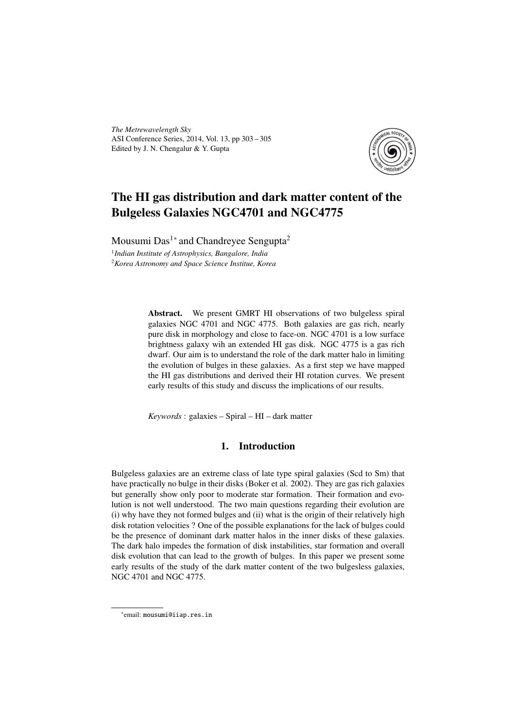*The Metrewavelength Sky* ASI Conference Series, 2014, Vol. 13, pp 303 – 305 Edited by J. N. Chengalur & Y. Gupta



# The HI gas distribution and dark matter content of the Bulgeless Galaxies NGC4701 and NGC4775

Mousumi Das<sup>1</sup><sup>∗</sup> and Chandreyee Sengupta<sup>2</sup> 1 *Indian Institute of Astrophysics, Bangalore, India* <sup>2</sup>*Korea Astronomy and Space Science Institue, Korea*

> Abstract. We present GMRT HI observations of two bulgeless spiral galaxies NGC 4701 and NGC 4775. Both galaxies are gas rich, nearly pure disk in morphology and close to face-on. NGC 4701 is a low surface brightness galaxy wih an extended HI gas disk. NGC 4775 is a gas rich dwarf. Our aim is to understand the role of the dark matter halo in limiting the evolution of bulges in these galaxies. As a first step we have mapped the HI gas distributions and derived their HI rotation curves. We present early results of this study and discuss the implications of our results.

*Keywords* : galaxies – Spiral – HI – dark matter

### 1. Introduction

Bulgeless galaxies are an extreme class of late type spiral galaxies (Scd to Sm) that have practically no bulge in their disks (Boker et al. 2002). They are gas rich galaxies but generally show only poor to moderate star formation. Their formation and evolution is not well understood. The two main questions regarding their evolution are (i) why have they not formed bulges and (ii) what is the origin of their relatively high disk rotation velocities ? One of the possible explanations for the lack of bulges could be the presence of dominant dark matter halos in the inner disks of these galaxies. The dark halo impedes the formation of disk instabilities, star formation and overall disk evolution that can lead to the growth of bulges. In this paper we present some early results of the study of the dark matter content of the two bulgesless galaxies, NGC 4701 and NGC 4775.

<sup>∗</sup> email: mousumi@iiap.res.in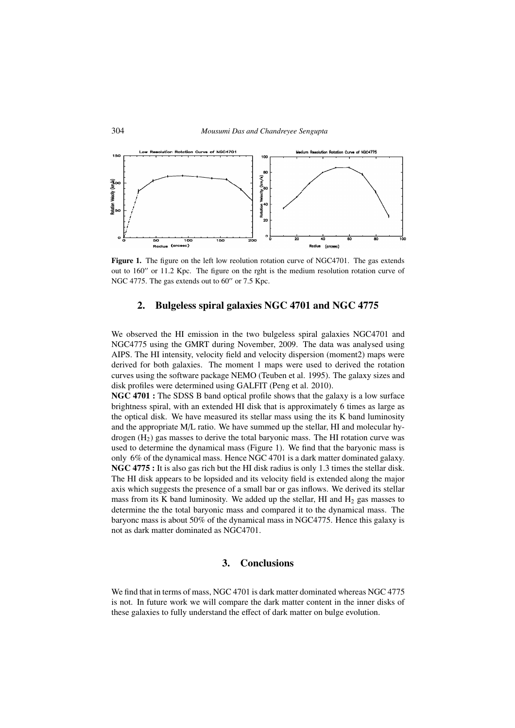

Figure 1. The figure on the left low reolution rotation curve of NGC4701. The gas extends out to 160" or 11.2 Kpc. The figure on the rght is the medium resolution rotation curve of NGC 4775. The gas extends out to  $60''$  or  $7.5$  Kpc.

#### 2. Bulgeless spiral galaxies NGC 4701 and NGC 4775

We observed the HI emission in the two bulgeless spiral galaxies NGC4701 and NGC4775 using the GMRT during November, 2009. The data was analysed using AIPS. The HI intensity, velocity field and velocity dispersion (moment2) maps were derived for both galaxies. The moment 1 maps were used to derived the rotation curves using the software package NEMO (Teuben et al. 1995). The galaxy sizes and disk profiles were determined using GALFIT (Peng et al. 2010).

NGC 4701 : The SDSS B band optical profile shows that the galaxy is a low surface brightness spiral, with an extended HI disk that is approximately 6 times as large as the optical disk. We have measured its stellar mass using the its K band luminosity and the appropriate M/L ratio. We have summed up the stellar, HI and molecular hydrogen  $(H<sub>2</sub>)$  gas masses to derive the total baryonic mass. The HI rotation curve was used to determine the dynamical mass (Figure 1). We find that the baryonic mass is only 6% of the dynamical mass. Hence NGC 4701 is a dark matter dominated galaxy. NGC 4775 : It is also gas rich but the HI disk radius is only 1.3 times the stellar disk. The HI disk appears to be lopsided and its velocity field is extended along the major axis which suggests the presence of a small bar or gas inflows. We derived its stellar mass from its K band luminosity. We added up the stellar, HI and  $H_2$  gas masses to determine the the total baryonic mass and compared it to the dynamical mass. The baryonc mass is about 50% of the dynamical mass in NGC4775. Hence this galaxy is not as dark matter dominated as NGC4701.

## 3. Conclusions

We find that in terms of mass, NGC 4701 is dark matter dominated whereas NGC 4775 is not. In future work we will compare the dark matter content in the inner disks of these galaxies to fully understand the effect of dark matter on bulge evolution.